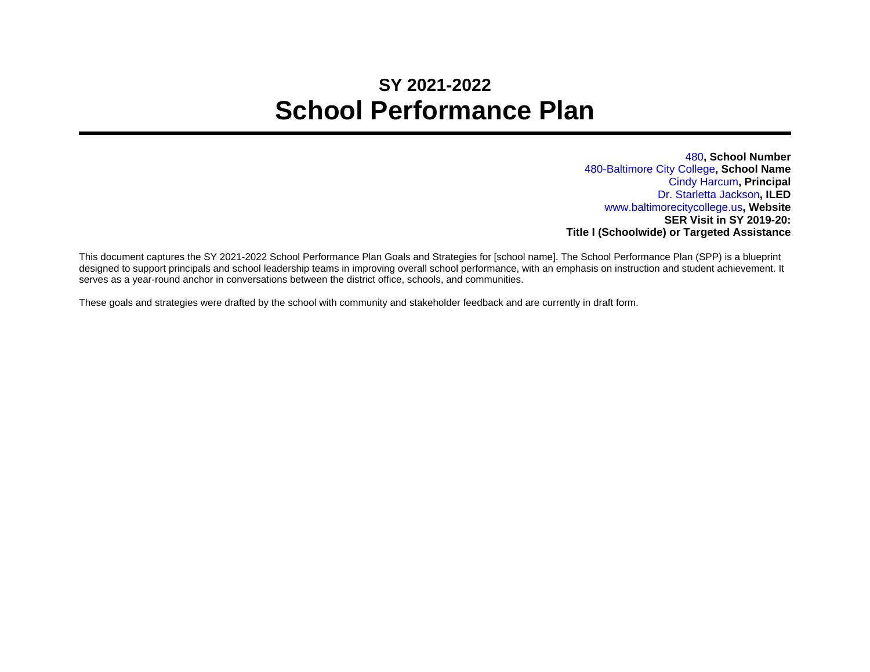## **SY 2021-2022 School Performance Plan**

480**, School Number** 480-Baltimore City College**, School Name** Cindy Harcum**, Principal** Dr. Starletta Jackson**, ILED** www.baltimorecitycollege.us**, Website SER Visit in SY 2019-20: Title I (Schoolwide) or Targeted Assistance**

This document captures the SY 2021-2022 School Performance Plan Goals and Strategies for [school name]. The School Performance Plan (SPP) is a blueprint designed to support principals and school leadership teams in improving overall school performance, with an emphasis on instruction and student achievement. It serves as a year-round anchor in conversations between the district office, schools, and communities.

These goals and strategies were drafted by the school with community and stakeholder feedback and are currently in draft form.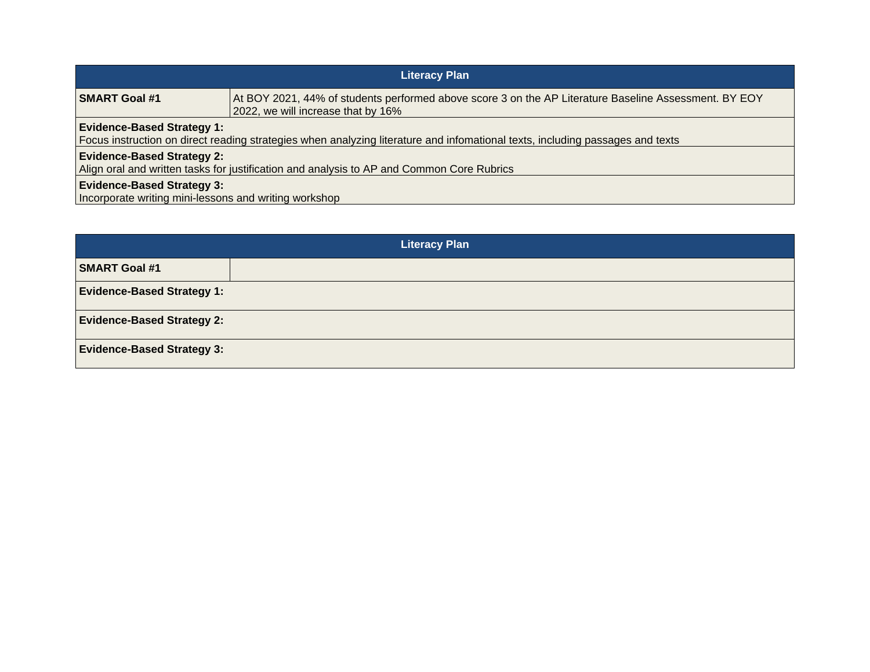| <b>Literacy Plan</b>                                                                                                                                               |                                                                                                                                             |  |
|--------------------------------------------------------------------------------------------------------------------------------------------------------------------|---------------------------------------------------------------------------------------------------------------------------------------------|--|
| <b>SMART Goal #1</b>                                                                                                                                               | At BOY 2021, 44% of students performed above score 3 on the AP Literature Baseline Assessment. BY EOY<br>2022, we will increase that by 16% |  |
| <b>Evidence-Based Strategy 1:</b><br>Focus instruction on direct reading strategies when analyzing literature and infomational texts, including passages and texts |                                                                                                                                             |  |
| <b>Evidence-Based Strategy 2:</b><br>Align oral and written tasks for justification and analysis to AP and Common Core Rubrics                                     |                                                                                                                                             |  |
| <b>Evidence-Based Strategy 3:</b><br>Incorporate writing mini-lessons and writing workshop                                                                         |                                                                                                                                             |  |

| <b>Literacy Plan</b>              |  |  |
|-----------------------------------|--|--|
| <b>SMART Goal #1</b>              |  |  |
| <b>Evidence-Based Strategy 1:</b> |  |  |
| <b>Evidence-Based Strategy 2:</b> |  |  |
| <b>Evidence-Based Strategy 3:</b> |  |  |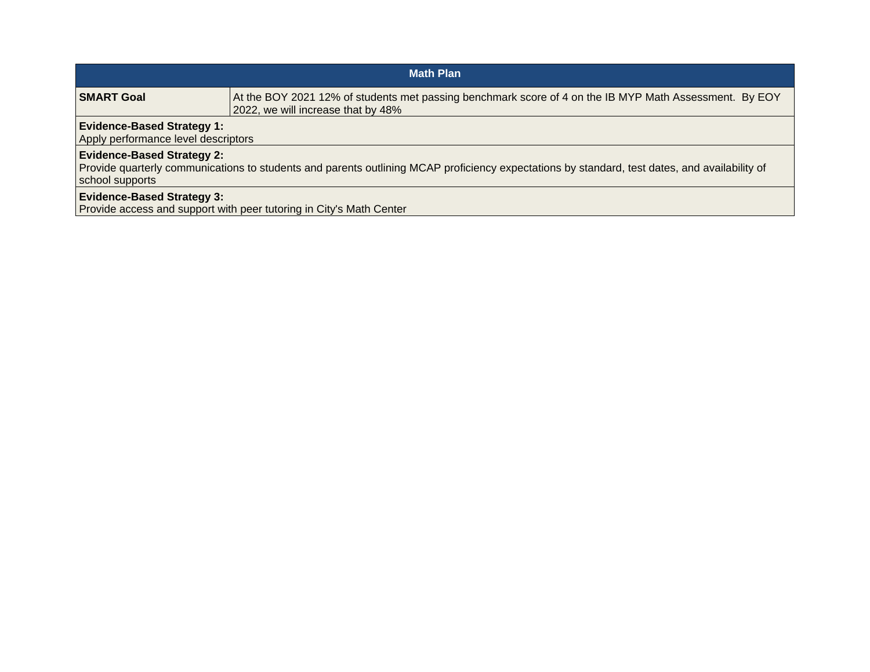| <b>Math Plan</b>                                                                                                                                                                                      |                                                                                                                                              |  |
|-------------------------------------------------------------------------------------------------------------------------------------------------------------------------------------------------------|----------------------------------------------------------------------------------------------------------------------------------------------|--|
| SMART Goal                                                                                                                                                                                            | At the BOY 2021 12% of students met passing benchmark score of 4 on the IB MYP Math Assessment. By EOY<br>2022, we will increase that by 48% |  |
| <b>Evidence-Based Strategy 1:</b><br>Apply performance level descriptors                                                                                                                              |                                                                                                                                              |  |
| <b>Evidence-Based Strategy 2:</b><br>Provide quarterly communications to students and parents outlining MCAP proficiency expectations by standard, test dates, and availability of<br>school supports |                                                                                                                                              |  |
| <b>Evidence-Based Strategy 3:</b>                                                                                                                                                                     | Provide access and support with peer tutoring in City's Math Center                                                                          |  |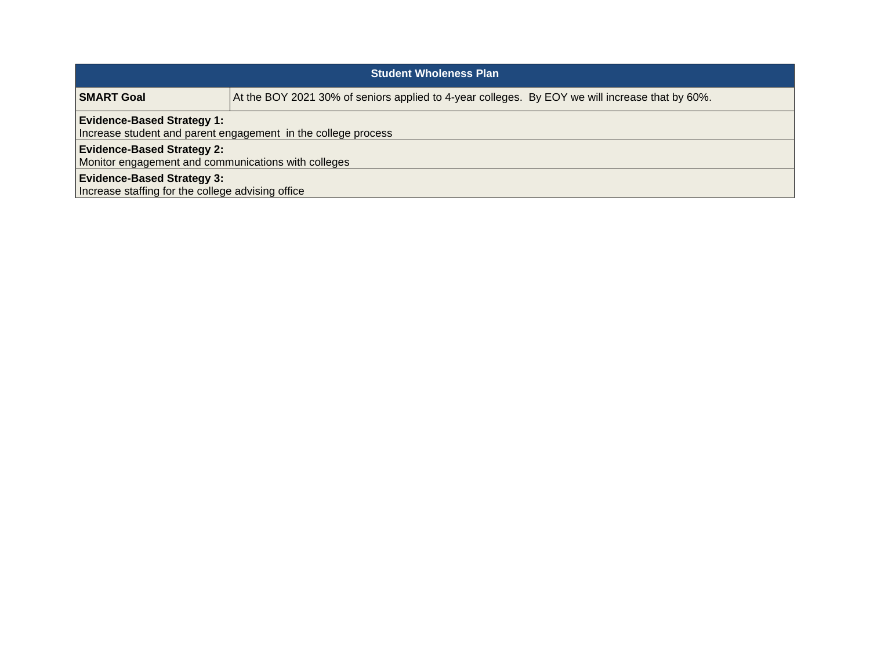| <b>Student Wholeness Plan</b>                                                                      |                                                                                                 |  |
|----------------------------------------------------------------------------------------------------|-------------------------------------------------------------------------------------------------|--|
| <b>SMART Goal</b>                                                                                  | At the BOY 2021 30% of seniors applied to 4-year colleges. By EOY we will increase that by 60%. |  |
| <b>Evidence-Based Strategy 1:</b><br>Increase student and parent engagement in the college process |                                                                                                 |  |
| <b>Evidence-Based Strategy 2:</b><br>Monitor engagement and communications with colleges           |                                                                                                 |  |
| <b>Evidence-Based Strategy 3:</b><br>Increase staffing for the college advising office             |                                                                                                 |  |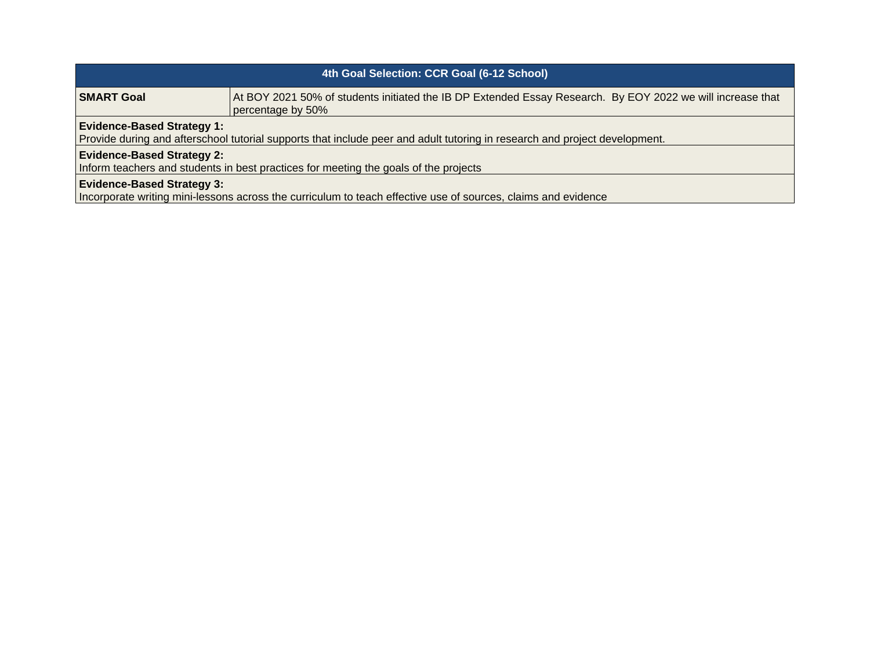| 4th Goal Selection: CCR Goal (6-12 School)                                                                                                                      |                                                                                                                                 |  |
|-----------------------------------------------------------------------------------------------------------------------------------------------------------------|---------------------------------------------------------------------------------------------------------------------------------|--|
| SMART Goal                                                                                                                                                      | At BOY 2021 50% of students initiated the IB DP Extended Essay Research. By EOY 2022 we will increase that<br>percentage by 50% |  |
| <b>Evidence-Based Strategy 1:</b><br>Provide during and afterschool tutorial supports that include peer and adult tutoring in research and project development. |                                                                                                                                 |  |
| <b>Evidence-Based Strategy 2:</b><br>Inform teachers and students in best practices for meeting the goals of the projects                                       |                                                                                                                                 |  |
| <b>Evidence-Based Strategy 3:</b><br>Incorporate writing mini-lessons across the curriculum to teach effective use of sources, claims and evidence              |                                                                                                                                 |  |